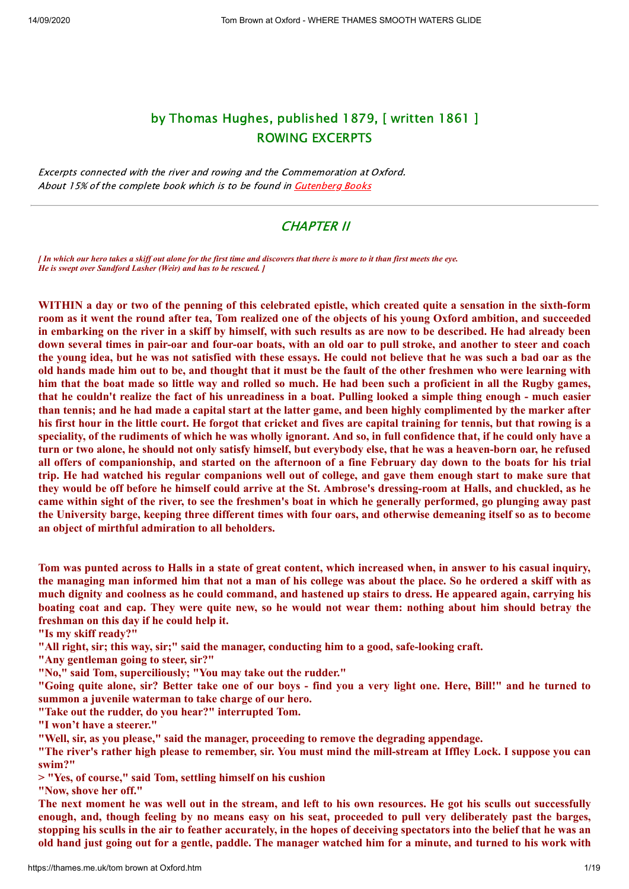# by Thomas Hughes, published 1879, [ written 1861 ] ROWING EXCERPTS

Excerpts connected with the river and rowing and the Commemoration at Oxford. About 15% of the complete book which is to be found in **[Gutenberg Books](http://www.gutenberg.org/ebooks/26851)** 

## CHAPTER II

*[ In which our hero takes a skiff out alone for the first time and discovers that there is more to it than first meets the eye. He is swept over Sandford Lasher (Weir) and has to be rescued. ]*

WITHIN a day or two of the penning of this celebrated epistle, which created quite a sensation in the sixth-form room as it went the round after tea, Tom realized one of the objects of his young Oxford ambition, and succeeded in embarking on the river in a skiff by himself, with such results as are now to be described. He had already been down several times in pair-oar and four-oar boats, with an old oar to pull stroke, and another to steer and coach the young idea, but he was not satisfied with these essays. He could not believe that he was such a bad oar as the old hands made him out to be, and thought that it must be the fault of the other freshmen who were learning with him that the boat made so little way and rolled so much. He had been such a proficient in all the Rugby games, that he couldn't realize the fact of his unreadiness in a boat. Pulling looked a simple thing enough - much easier than tennis; and he had made a capital start at the latter game, and been highly complimented by the marker after his first hour in the little court. He forgot that cricket and fives are capital training for tennis, but that rowing is a speciality, of the rudiments of which he was wholly ignorant. And so, in full confidence that, if he could only have a turn or two alone, he should not only satisfy himself, but everybody else, that he was a heaven-born oar, he refused all offers of companionship, and started on the afternoon of a fine February day down to the boats for his trial trip. He had watched his regular companions well out of college, and gave them enough start to make sure that they would be off before he himself could arrive at the St. Ambrose's dressing-room at Halls, and chuckled, as he came within sight of the river, to see the freshmen's boat in which he generally performed, go plunging away past the University barge, keeping three different times with four oars, and otherwise demeaning itself so as to become **an object of mirthful admiration to all beholders.**

Tom was punted across to Halls in a state of great content, which increased when, in answer to his casual inquiry, the managing man informed him that not a man of his college was about the place. So he ordered a skiff with as much dignity and coolness as he could command, and hastened up stairs to dress. He appeared again, carrying his boating coat and cap. They were quite new, so he would not wear them: nothing about him should betray the **freshman on this day if he could help it.**

**"Is my skiff ready?"**

**"All right, sir; this way, sir;" said the manager, conducting him to a good, safe-looking craft.**

**"Any gentleman going to steer, sir?"**

**"No," said Tom, superciliously; "You may take out the rudder."**

"Going quite alone, sir? Better take one of our boys - find you a very light one. Here, Bill!" and he turned to **summon a juvenile waterman to take charge of our hero.**

**"Take out the rudder, do you hear?" interrupted Tom.**

**"I won't have a steerer."**

**"Well, sir, as you please," said the manager, proceeding to remove the degrading appendage.**

"The river's rather high please to remember, sir. You must mind the mill-stream at Iffley Lock. I suppose you can **swim?"**

**> "Yes, of course," said Tom, settling himself on his cushion**

**"Now, shove her off."**

The next moment he was well out in the stream, and left to his own resources. He got his sculls out successfully enough, and, though feeling by no means easy on his seat, proceeded to pull very deliberately past the barges, stopping his sculls in the air to feather accurately, in the hopes of deceiving spectators into the belief that he was an old hand just going out for a gentle, paddle. The manager watched him for a minute, and turned to his work with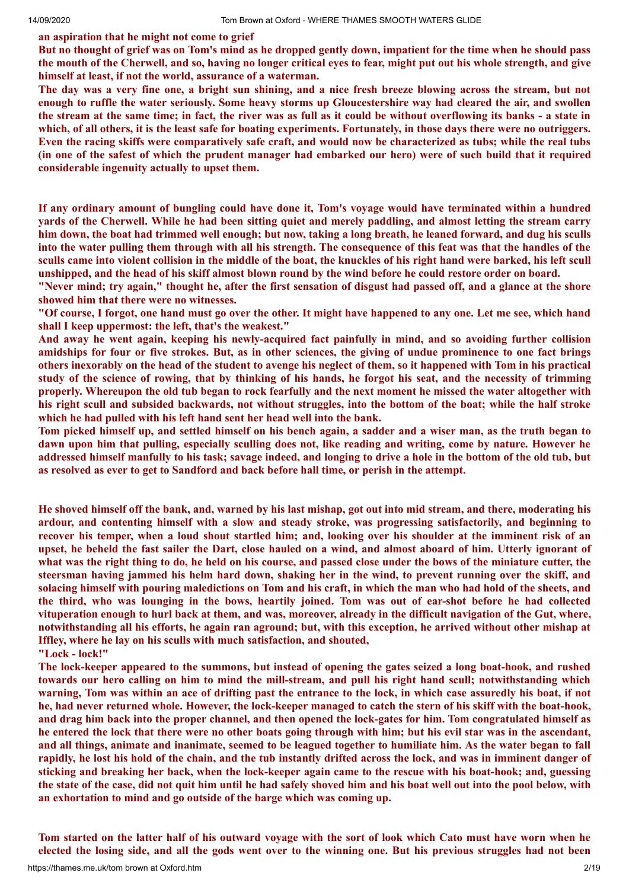#### **an aspiration that he might not come to grief**

But no thought of grief was on Tom's mind as he dropped gently down, impatient for the time when he should pass the mouth of the Cherwell, and so, having no longer critical eyes to fear, might put out his whole strength, and give **himself at least, if not the world, assurance of a waterman.**

The day was a very fine one, a bright sun shining, and a nice fresh breeze blowing across the stream, but not enough to ruffle the water seriously. Some heavy storms up Gloucestershire way had cleared the air, and swollen the stream at the same time; in fact, the river was as full as it could be without overflowing its banks - a state in which, of all others, it is the least safe for boating experiments. Fortunately, in those days there were no outriggers. Even the racing skiffs were comparatively safe craft, and would now be characterized as tubs; while the real tubs (in one of the safest of which the prudent manager had embarked our hero) were of such build that it required **considerable ingenuity actually to upset them.**

If any ordinary amount of bungling could have done it, Tom's voyage would have terminated within a hundred yards of the Cherwell. While he had been sitting quiet and merely paddling, and almost letting the stream carry him down, the boat had trimmed well enough; but now, taking a long breath, he leaned forward, and dug his sculls into the water pulling them through with all his strength. The consequence of this feat was that the handles of the sculls came into violent collision in the middle of the boat, the knuckles of his right hand were barked, his left scull unshipped, and the head of his skiff almost blown round by the wind before he could restore order on board.

"Never mind; try again," thought he, after the first sensation of disgust had passed off, and a glance at the shore **showed him that there were no witnesses.**

"Of course, I forgot, one hand must go over the other. It might have happened to any one. Let me see, which hand **shall I keep uppermost: the left, that's the weakest."**

And away he went again, keeping his newly-acquired fact painfully in mind, and so avoiding further collision amidships for four or five strokes. But, as in other sciences, the giving of undue prominence to one fact brings others inexorably on the head of the student to avenge his neglect of them, so it happened with Tom in his practical study of the science of rowing, that by thinking of his hands, he forgot his seat, and the necessity of trimming properly. Whereupon the old tub began to rock fearfully and the next moment he missed the water altogether with his right scull and subsided backwards, not without struggles, into the bottom of the boat; while the half stroke **which he had pulled with his left hand sent her head well into the bank.**

Tom picked himself up, and settled himself on his bench again, a sadder and a wiser man, as the truth began to dawn upon him that pulling, especially sculling does not, like reading and writing, come by nature. However he addressed himself manfully to his task; savage indeed, and longing to drive a hole in the bottom of the old tub, but **as resolved as ever to get to Sandford and back before hall time, or perish in the attempt.**

He shoved himself off the bank, and, warned by his last mishap, got out into mid stream, and there, moderating his **ardour, and contenting himself with a slow and steady stroke, was progressing satisfactorily, and beginning to** recover his temper, when a loud shout startled him; and, looking over his shoulder at the imminent risk of an upset, he beheld the fast sailer the Dart, close hauled on a wind, and almost aboard of him. Utterly ignorant of what was the right thing to do, he held on his course, and passed close under the bows of the miniature cutter, the steersman having jammed his helm hard down, shaking her in the wind, to prevent running over the skiff, and solacing himself with pouring maledictions on Tom and his craft, in which the man who had hold of the sheets, and the third, who was lounging in the bows, heartily joined. Tom was out of ear-shot before he had collected vituperation enough to hurl back at them, and was, moreover, already in the difficult navigation of the Gut, where, notwithstanding all his efforts, he again ran aground; but, with this exception, he arrived without other mishap at **Iffley, where he lay on his sculls with much satisfaction, and shouted,**

**"Lock - lock!"**

The lock-keeper appeared to the summons, but instead of opening the gates seized a long boat-hook, and rushed towards our hero calling on him to mind the mill-stream, and pull his right hand scull; notwithstanding which warning, Tom was within an ace of drifting past the entrance to the lock, in which case assuredly his boat, if not he, had never returned whole. However, the lock-keeper managed to catch the stern of his skiff with the boat-hook, and drag him back into the proper channel, and then opened the lock-gates for him. Tom congratulated himself as he entered the lock that there were no other boats going through with him; but his evil star was in the ascendant, and all things, animate and inanimate, seemed to be leagued together to humiliate him. As the water began to fall rapidly, he lost his hold of the chain, and the tub instantly drifted across the lock, and was in imminent danger of sticking and breaking her back, when the lock-keeper again came to the rescue with his boat-hook; and, guessing the state of the case, did not quit him until he had safely shoved him and his boat well out into the pool below, with **an exhortation to mind and go outside of the barge which was coming up.**

Tom started on the latter half of his outward voyage with the sort of look which Cato must have worn when he elected the losing side, and all the gods went over to the winning one. But his previous struggles had not been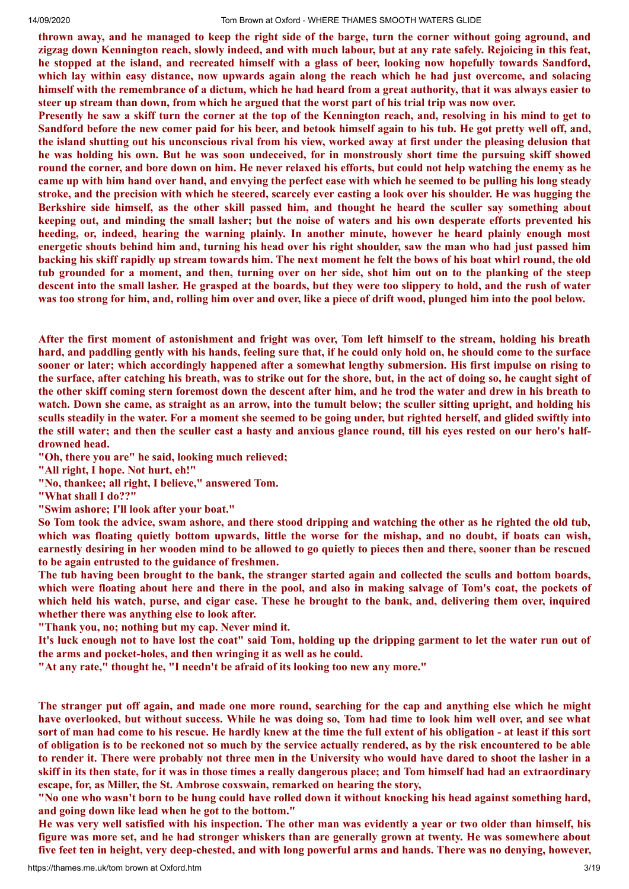thrown away, and he managed to keep the right side of the barge, turn the corner without going aground, and zigzag down Kennington reach, slowly indeed, and with much labour, but at any rate safely. Rejoicing in this feat, he stopped at the island, and recreated himself with a glass of beer, looking now hopefully towards Sandford, which lay within easy distance, now upwards again along the reach which he had just overcome, and solacing himself with the remembrance of a dictum, which he had heard from a great authority, that it was always easier to steer up stream than down, from which he argued that the worst part of his trial trip was now over.

Presently he saw a skiff turn the corner at the top of the Kennington reach, and, resolving in his mind to get to Sandford before the new comer paid for his beer, and betook himself again to his tub. He got pretty well off, and, the island shutting out his unconscious rival from his view, worked away at first under the pleasing delusion that he was holding his own. But he was soon undeceived, for in monstrously short time the pursuing skiff showed round the corner, and bore down on him. He never relaxed his efforts, but could not help watching the enemy as he came up with him hand over hand, and envying the perfect ease with which he seemed to be pulling his long steady stroke, and the precision with which he steered, scarcely ever casting a look over his shoulder. He was hugging the Berkshire side himself, as the other skill passed him, and thought he heard the sculler say something about keeping out, and minding the small lasher; but the noise of waters and his own desperate efforts prevented his **heeding, or, indeed, hearing the warning plainly. In another minute, however he heard plainly enough most** energetic shouts behind him and, turning his head over his right shoulder, saw the man who had just passed him backing his skiff rapidly up stream towards him. The next moment he felt the bows of his boat whirl round, the old tub grounded for a moment, and then, turning over on her side, shot him out on to the planking of the steep descent into the small lasher. He grasped at the boards, but they were too slippery to hold, and the rush of water was too strong for him, and, rolling him over and over, like a piece of drift wood, plunged him into the pool below.

After the first moment of astonishment and fright was over, Tom left himself to the stream, holding his breath hard, and paddling gently with his hands, feeling sure that, if he could only hold on, he should come to the surface sooner or later; which accordingly happened after a somewhat lengthy submersion. His first impulse on rising to the surface, after catching his breath, was to strike out for the shore, but, in the act of doing so, he caught sight of the other skiff coming stern foremost down the descent after him, and he trod the water and drew in his breath to watch. Down she came, as straight as an arrow, into the tumult below; the sculler sitting upright, and holding his sculls steadily in the water. For a moment she seemed to be going under, but righted herself, and glided swiftly into the still water; and then the sculler cast a hasty and anxious glance round, till his eyes rested on our hero's half**drowned head.**

**"Oh, there you are" he said, looking much relieved;**

**"All right, I hope. Not hurt, eh!"**

**"No, thankee; all right, I believe," answered Tom.**

**"What shall I do??"**

**"Swim ashore; I'll look after your boat."**

So Tom took the advice, swam ashore, and there stood dripping and watching the other as he righted the old tub, which was floating quietly bottom upwards, little the worse for the mishap, and no doubt, if boats can wish, earnestly desiring in her wooden mind to be allowed to go quietly to pieces then and there, sooner than be rescued **to be again entrusted to the guidance of freshmen.**

The tub having been brought to the bank, the stranger started again and collected the sculls and bottom boards, which were floating about here and there in the pool, and also in making salvage of Tom's coat, the pockets of which held his watch, purse, and cigar case. These he brought to the bank, and, delivering them over, inquired **whether there was anything else to look after.**

**"Thank you, no; nothing but my cap. Never mind it.**

It's luck enough not to have lost the coat" said Tom, holding up the dripping garment to let the water run out of **the arms and pocket-holes, and then wringing it as well as he could.**

**"At any rate," thought he, "I needn't be afraid of its looking too new any more."**

The stranger put off again, and made one more round, searching for the cap and anything else which he might have overlooked, but without success. While he was doing so, Tom had time to look him well over, and see what sort of man had come to his rescue. He hardly knew at the time the full extent of his obligation - at least if this sort of obligation is to be reckoned not so much by the service actually rendered, as by the risk encountered to be able to render it. There were probably not three men in the University who would have dared to shoot the lasher in a skiff in its then state, for it was in those times a really dangerous place; and Tom himself had had an extraordinary **escape, for, as Miller, the St. Ambrose coxswain, remarked on hearing the story,**

"No one who wasn't born to be hung could have rolled down it without knocking his head against something hard, **and going down like lead when he got to the bottom."**

He was very well satisfied with his inspection. The other man was evidently a year or two older than himself, his figure was more set, and he had stronger whiskers than are generally grown at twenty. He was somewhere about five feet ten in height, very deep-chested, and with long powerful arms and hands. There was no denying, however,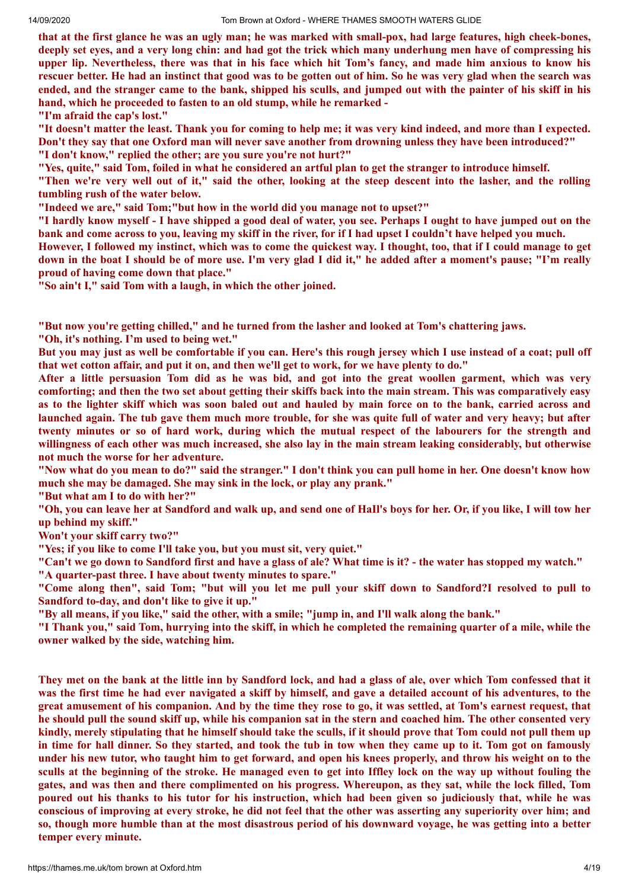that at the first glance he was an ugly man; he was marked with small-pox, had large features, high cheek-bones, deeply set eves, and a very long chin; and had got the trick which many underhung men have of compressing his upper lip. Nevertheless, there was that in his face which hit Tom's fancy, and made him anxious to know his rescuer better. He had an instinct that good was to be gotten out of him. So he was very glad when the search was ended, and the stranger came to the bank, shipped his sculls, and jumped out with the painter of his skiff in his **hand, which he proceeded to fasten to an old stump, while he remarked -**

**"I'm afraid the cap's lost."**

"It doesn't matter the least. Thank you for coming to help me; it was very kind indeed, and more than I expected. Don't they say that one Oxford man will never save another from drowning unless they have been introduced?" **"I don't know," replied the other; are you sure you're not hurt?"**

"Yes, quite," said Tom, foiled in what he considered an artful plan to get the stranger to introduce himself.

"Then we're very well out of it," said the other, looking at the steep descent into the lasher, and the rolling **tumbling rush of the water below.**

**"Indeed we are," said Tom;"but how in the world did you manage not to upset?"**

"I hardly know myself - I have shipped a good deal of water, you see. Perhaps I ought to have jumped out on the bank and come across to you, leaving my skiff in the river, for if I had upset I couldn't have helped you much.

However, I followed my instinct, which was to come the quickest way. I thought, too, that if I could manage to get down in the boat I should be of more use. I'm very glad I did it," he added after a moment's pause; "I'm really **proud of having come down that place."**

**"So ain't I," said Tom with a laugh, in which the other joined.**

**"But now you're getting chilled," and he turned from the lasher and looked at Tom's chattering jaws.**

**"Oh, it's nothing. I'm used to being wet."**

But you may just as well be comfortable if you can. Here's this rough jersey which I use instead of a coat; pull off that wet cotton affair, and put it on, and then we'll get to work, for we have plenty to do."

After a little persuasion Tom did as he was bid, and got into the great woollen garment, which was very comforting; and then the two set about getting their skiffs back into the main stream. This was comparatively easy as to the lighter skiff which was soon baled out and hauled by main force on to the bank, carried across and launched again. The tub gave them much more trouble, for she was quite full of water and very heavy; but after twenty minutes or so of hard work, during which the mutual respect of the labourers for the strength and willingness of each other was much increased, she also lay in the main stream leaking considerably, but otherwise **not much the worse for her adventure.**

"Now what do you mean to do?" said the stranger." I don't think you can pull home in her. One doesn't know how **much she may be damaged. She may sink in the lock, or play any prank."**

**"But what am I to do with her?"**

"Oh, you can leave her at Sandford and walk up, and send one of HaII's boys for her. Or, if you like, I will tow her **up behind my skiff."**

**Won't your skiff carry two?"**

**"Yes; if you like to come I'll take you, but you must sit, very quiet."**

"Can't we go down to Sandford first and have a glass of ale? What time is it? - the water has stopped my watch." **"A quarter-past three. I have about twenty minutes to spare."**

"Come along then", said Tom; "but will you let me pull your skiff down to Sandford?I resolved to pull to **Sandford to-day, and don't like to give it up."**

"By all means, if you like," said the other, with a smile; "jump in, and I'll walk along the bank."

"I Thank you," said Tom, hurrying into the skiff, in which he completed the remaining quarter of a mile, while the **owner walked by the side, watching him.**

They met on the bank at the little inn by Sandford lock, and had a glass of ale, over which Tom confessed that it was the first time he had ever navigated a skiff by himself, and gave a detailed account of his adventures, to the great amusement of his companion. And by the time they rose to go, it was settled, at Tom's earnest request, that he should pull the sound skiff up, while his companion sat in the stern and coached him. The other consented very kindly, merely stipulating that he himself should take the sculls, if it should prove that Tom could not pull them up in time for hall dinner. So they started, and took the tub in tow when they came up to it. Tom got on famously under his new tutor, who taught him to get forward, and open his knees properly, and throw his weight on to the sculls at the beginning of the stroke. He managed even to get into Iffley lock on the way up without fouling the gates, and was then and there complimented on his progress. Whereupon, as they sat, while the lock filled, Tom poured out his thanks to his tutor for his instruction, which had been given so judiciously that, while he was conscious of improving at every stroke, he did not feel that the other was asserting any superiority over him; and so, though more humble than at the most disastrous period of his downward voyage, he was getting into a better **temper every minute.**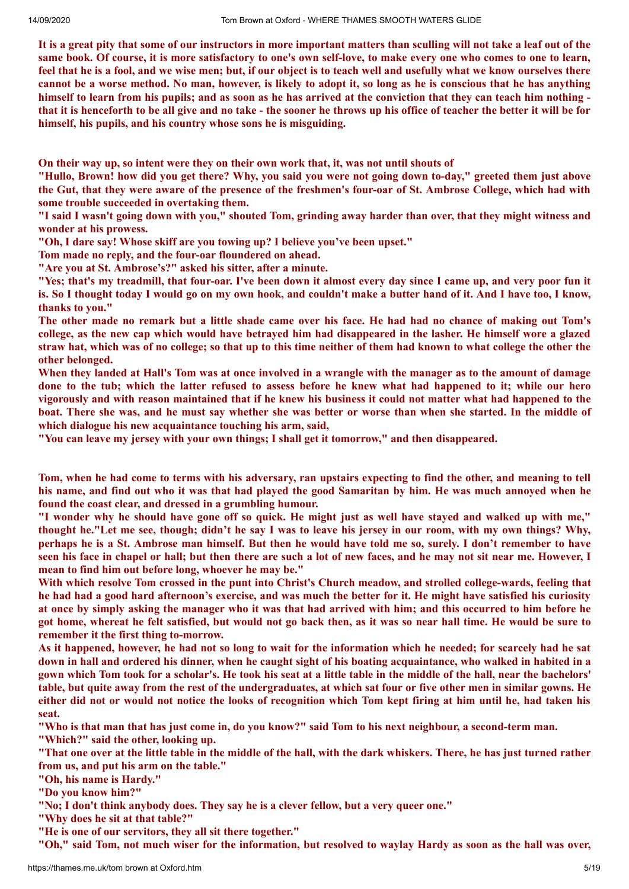It is a great pity that some of our instructors in more important matters than sculling will not take a leaf out of the same book. Of course, it is more satisfactory to one's own self-love, to make every one who comes to one to learn, feel that he is a fool, and we wise men; but, if our object is to teach well and usefully what we know ourselves there cannot be a worse method. No man, however, is likely to adopt it, so long as he is conscious that he has anything himself to learn from his pupils; and as soon as he has arrived at the conviction that they can teach him nothing that it is henceforth to be all give and no take - the sooner he throws up his office of teacher the better it will be for **himself, his pupils, and his country whose sons he is misguiding.**

**On their way up, so intent were they on their own work that, it, was not until shouts of**

"Hullo, Brown! how did you get there? Why, you said you were not going down to-day," greeted them just above the Gut, that they were aware of the presence of the freshmen's four-oar of St. Ambrose College, which had with **some trouble succeeded in overtaking them.**

"I said I wasn't going down with you," shouted Tom, grinding away harder than over, that they might witness and **wonder at his prowess.**

**"Oh, I dare say! Whose skiff are you towing up? I believe you've been upset."**

**Tom made no reply, and the four-oar floundered on ahead.**

**"Are you at St. Ambrose's?" asked his sitter, after a minute.**

"Yes; that's my treadmill, that four-oar. I've been down it almost every day since I came up, and very poor fun it is. So I thought today I would go on my own hook, and couldn't make a butter hand of it. And I have too, I know, **thanks to you."**

The other made no remark but a little shade came over his face. He had had no chance of making out Tom's college, as the new cap which would have betrayed him had disappeared in the lasher. He himself wore a glazed straw hat, which was of no college; so that up to this time neither of them had known to what college the other the **other belonged.**

When they landed at Hall's Tom was at once involved in a wrangle with the manager as to the amount of damage done to the tub; which the latter refused to assess before he knew what had happened to it; while our hero vigorously and with reason maintained that if he knew his business it could not matter what had happened to the boat. There she was, and he must say whether she was better or worse than when she started. In the middle of **which dialogue his new acquaintance touching his arm, said,**

**"You can leave my jersey with your own things; I shall get it tomorrow," and then disappeared.**

Tom, when he had come to terms with his adversary, ran upstairs expecting to find the other, and meaning to tell his name, and find out who it was that had played the good Samaritan by him. He was much annoyed when he **found the coast clear, and dressed in a grumbling humour.**

"I wonder why he should have gone off so quick. He might just as well have staved and walked up with me," thought he."Let me see, though; didn't he say I was to leave his jersey in our room, with my own things? Why, perhaps he is a St. Ambrose man himself. But then he would have told me so, surely. I don't remember to have seen his face in chapel or hall; but then there are such a lot of new faces, and he may not sit near me. However, I **mean to find him out before long, whoever he may be."**

With which resolve Tom crossed in the punt into Christ's Church meadow, and strolled college-wards, feeling that he had had a good hard afternoon's exercise, and was much the better for it. He might have satisfied his curiosity at once by simply asking the manager who it was that had arrived with him; and this occurred to him before he got home, whereat he felt satisfied, but would not go back then, as it was so near hall time. He would be sure to **remember it the first thing to-morrow.**

As it happened, however, he had not so long to wait for the information which he needed; for scarcely had he sat down in hall and ordered his dinner, when he caught sight of his boating acquaintance, who walked in habited in a gown which Tom took for a scholar's. He took his seat at a little table in the middle of the hall, near the bachelors' table, but quite away from the rest of the undergraduates, at which sat four or five other men in similar gowns. He either did not or would not notice the looks of recognition which Tom kept firing at him until he, had taken his **seat.**

"Who is that man that has just come in, do you know?" said Tom to his next neighbour, a second-term man. **"Which?" said the other, looking up.**

"That one over at the little table in the middle of the hall, with the dark whiskers. There, he has just turned rather **from us, and put his arm on the table."**

**"Oh, his name is Hardy."**

**"Do you know him?"**

**"No; I don't think anybody does. They say he is a clever fellow, but a very queer one."**

**"Why does he sit at that table?"**

**"He is one of our servitors, they all sit there together."**

"Oh," said Tom, not much wiser for the information, but resolved to waylay Hardy as soon as the hall was over,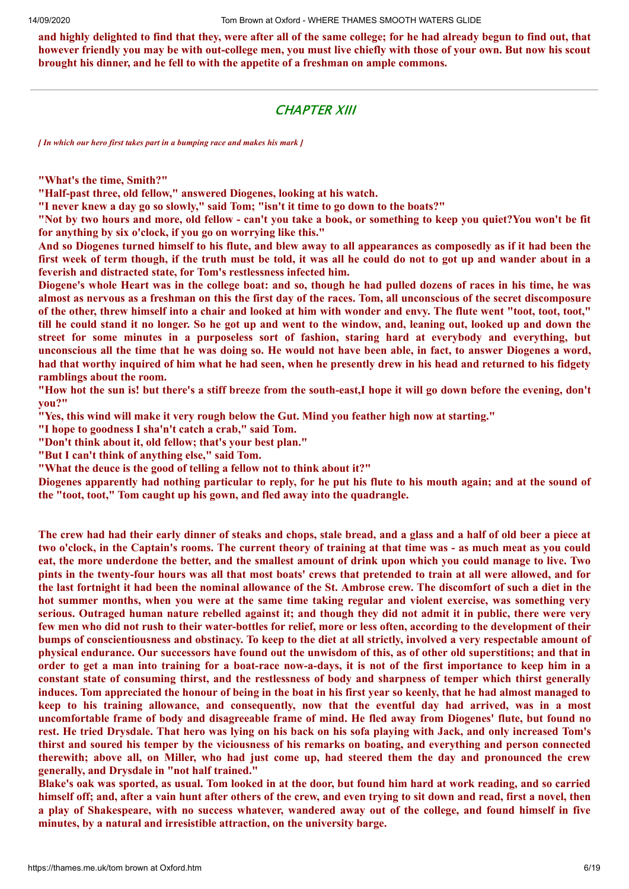and highly delighted to find that they, were after all of the same college; for he had already begun to find out, that however friendly you may be with out-college men, you must live chiefly with those of your own. But now his scout **brought his dinner, and he fell to with the appetite of a freshman on ample commons.**

## CHAPTER XIII

*[ In which our hero first takes part in a bumping race and makes his mark ]*

**"What's the time, Smith?"**

**"Half-past three, old fellow," answered Diogenes, looking at his watch.**

**"I never knew a day go so slowly," said Tom; "isn't it time to go down to the boats?"**

"Not by two hours and more, old fellow - can't you take a book, or something to keep you quiet?You won't be fit **for anything by six o'clock, if you go on worrying like this."**

And so Diogenes turned himself to his flute, and blew away to all appearances as composedly as if it had been the first week of term though, if the truth must be told, it was all he could do not to got up and wander about in a **feverish and distracted state, for Tom's restlessness infected him.**

Diogene's whole Heart was in the college boat: and so, though he had pulled dozens of races in his time, he was almost as nervous as a freshman on this the first day of the races. Tom, all unconscious of the secret discomposure of the other, threw himself into a chair and looked at him with wonder and envy. The flute went "toot, toot, toot," till he could stand it no longer. So he got up and went to the window, and, leaning out, looked up and down the **street for some minutes in a purposeless sort of fashion, staring hard at everybody and everything, but** unconscious all the time that he was doing so. He would not have been able, in fact, to answer Diogenes a word, had that worthy inquired of him what he had seen, when he presently drew in his head and returned to his fidgety **ramblings about the room.**

"How hot the sun is! but there's a stiff breeze from the south-east.I hope it will go down before the evening, don't **you?"**

**"Yes, this wind will make it very rough below the Gut. Mind you feather high now at starting."**

**"I hope to goodness I sha'n't catch a crab," said Tom.**

**"Don't think about it, old fellow; that's your best plan."**

**"But I can't think of anything else," said Tom.**

**"What the deuce is the good of telling a fellow not to think about it?"**

Diogenes apparently had nothing particular to reply, for he put his flute to his mouth again; and at the sound of **the "toot, toot," Tom caught up his gown, and fled away into the quadrangle.**

The crew had had their early dinner of steaks and chops, stale bread, and a glass and a half of old beer a piece at two o'clock, in the Captain's rooms. The current theory of training at that time was - as much meat as you could eat, the more underdone the better, and the smallest amount of drink upon which you could manage to live. Two pints in the twenty-four hours was all that most boats' crews that pretended to train at all were allowed, and for the last fortnight it had been the nominal allowance of the St. Ambrose crew. The discomfort of such a diet in the hot summer months, when you were at the same time taking regular and violent exercise, was something very serious. Outraged human nature rebelled against it; and though they did not admit it in public, there were very few men who did not rush to their water-bottles for relief, more or less often, according to the development of their bumps of conscientiousness and obstinacy. To keep to the diet at all strictly, involved a very respectable amount of physical endurance. Our successors have found out the unwisdom of this, as of other old superstitions; and that in order to get a man into training for a boat-race now-a-days, it is not of the first importance to keep him in a constant state of consuming thirst, and the restlessness of body and sharpness of temper which thirst generally induces. Tom appreciated the honour of being in the boat in his first year so keenly, that he had almost managed to keep to his training allowance, and consequently, now that the eventful day had arrived, was in a most uncomfortable frame of body and disagreeable frame of mind. He fled away from Diogenes' flute, but found no rest. He tried Drysdale. That hero was lying on his back on his sofa playing with Jack, and only increased Tom's thirst and soured his temper by the viciousness of his remarks on boating, and everything and person connected therewith; above all, on Miller, who had just come up, had steered them the day and pronounced the crew **generally, and Drysdale in "not half trained."**

Blake's oak was sported, as usual. Tom looked in at the door, but found him hard at work reading, and so carried himself off; and, after a vain hunt after others of the crew, and even trying to sit down and read, first a novel, then a play of Shakespeare, with no success whatever, wandered away out of the college, and found himself in five **minutes, by a natural and irresistible attraction, on the university barge.**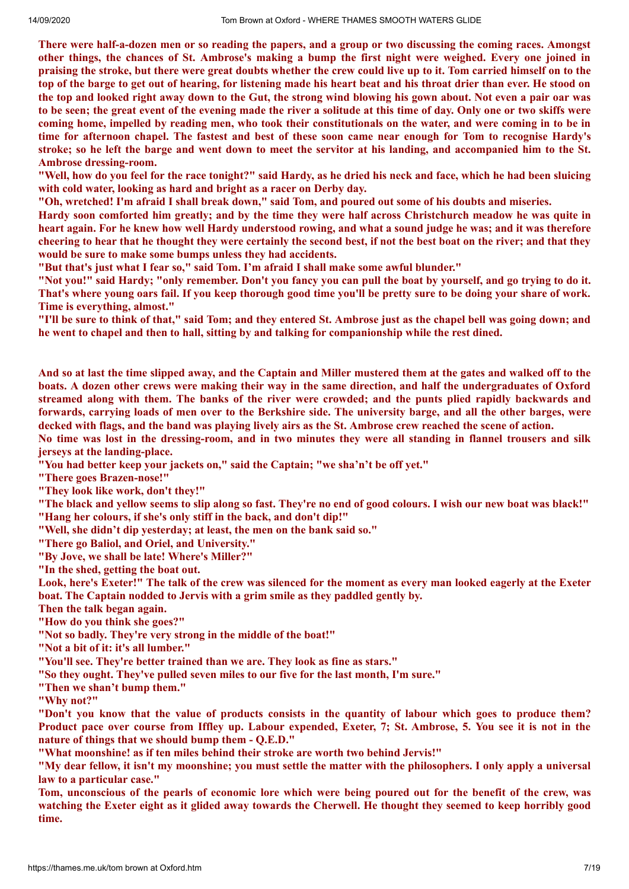There were half-a-dozen men or so reading the papers, and a group or two discussing the coming races. Amongst other things, the chances of St. Ambrose's making a bump the first night were weighed. Every one joined in praising the stroke, but there were great doubts whether the crew could live up to it. Tom carried himself on to the top of the barge to get out of hearing, for listening made his heart beat and his throat drier than ever. He stood on the top and looked right away down to the Gut, the strong wind blowing his gown about. Not even a pair oar was to be seen; the great event of the evening made the river a solitude at this time of day. Only one or two skiffs were coming home, impelled by reading men, who took their constitutionals on the water, and were coming in to be in time for afternoon chapel. The fastest and best of these soon came near enough for Tom to recognise Hardy's stroke; so he left the barge and went down to meet the servitor at his landing, and accompanied him to the St. **Ambrose dressing-room.**

"Well, how do you feel for the race tonight?" said Hardy, as he dried his neck and face, which he had been sluicing **with cold water, looking as hard and bright as a racer on Derby day.**

"Oh, wretched! I'm afraid I shall break down," said Tom, and poured out some of his doubts and miseries.

Hardy soon comforted him greatly; and by the time they were half across Christchurch meadow he was quite in heart again. For he knew how well Hardy understood rowing, and what a sound judge he was: and it was therefore cheering to hear that he thought they were certainly the second best, if not the best boat on the river; and that they **would be sure to make some bumps unless they had accidents.**

**"But that's just what I fear so," said Tom. I'm afraid I shall make some awful blunder."**

"Not you!" said Hardy; "only remember. Don't you fancy you can pull the boat by yourself, and go trying to do it. That's where young oars fail. If you keep thorough good time you'll be pretty sure to be doing your share of work. **Time is everything, almost."**

"I'll be sure to think of that," said Tom; and they entered St. Ambrose just as the chapel bell was going down; and **he went to chapel and then to hall, sitting by and talking for companionship while the rest dined.**

And so at last the time slipped away, and the Captain and Miller mustered them at the gates and walked off to the boats. A dozen other crews were making their way in the same direction, and half the undergraduates of Oxford streamed along with them. The banks of the river were crowded; and the punts plied rapidly backwards and forwards, carrying loads of men over to the Berkshire side. The university barge, and all the other barges, were decked with flags, and the band was playing lively airs as the St. Ambrose crew reached the scene of action.

No time was lost in the dressing-room, and in two minutes they were all standing in flannel trousers and silk **jerseys at the landing-place.**

**"You had better keep your jackets on," said the Captain; "we sha'n't be off yet."**

**"There goes Brazen-nose!"**

**"They look like work, don't they!"**

"The black and vellow seems to slip along so fast. They're no end of good colours. I wish our new boat was black!" **"Hang her colours, if she's only stiff in the back, and don't dip!"**

**"Well, she didn't dip yesterday; at least, the men on the bank said so."**

**"There go Baliol, and Oriel, and University."**

**"By Jove, we shall be late! Where's Miller?"**

**"In the shed, getting the boat out.**

Look, here's Exeter!" The talk of the crew was silenced for the moment as every man looked eagerly at the Exeter **boat. The Captain nodded to Jervis with a grim smile as they paddled gently by.**

**Then the talk began again.**

**"How do you think she goes?"**

**"Not so badly. They're very strong in the middle of the boat!"**

**"Not a bit of it: it's all lumber."**

**"You'll see. They're better trained than we are. They look as fine as stars."**

**"So they ought. They've pulled seven miles to our five for the last month, I'm sure."**

**"Then we shan't bump them."**

**"Why not?"**

"Don't you know that the value of products consists in the quantity of labour which goes to produce them? Product pace over course from Iffley up. Labour expended, Exeter, 7; St. Ambrose, 5. You see it is not in the **nature of things that we should bump them - Q.E.D."**

**"What moonshine! as if ten miles behind their stroke are worth two behind Jervis!"**

"My dear fellow, it isn't my moonshine; you must settle the matter with the philosophers. I only apply a universal **law to a particular case."**

Tom, unconscious of the pearls of economic lore which were being poured out for the benefit of the crew, was watching the Exeter eight as it glided away towards the Cherwell. He thought they seemed to keep horribly good **time.**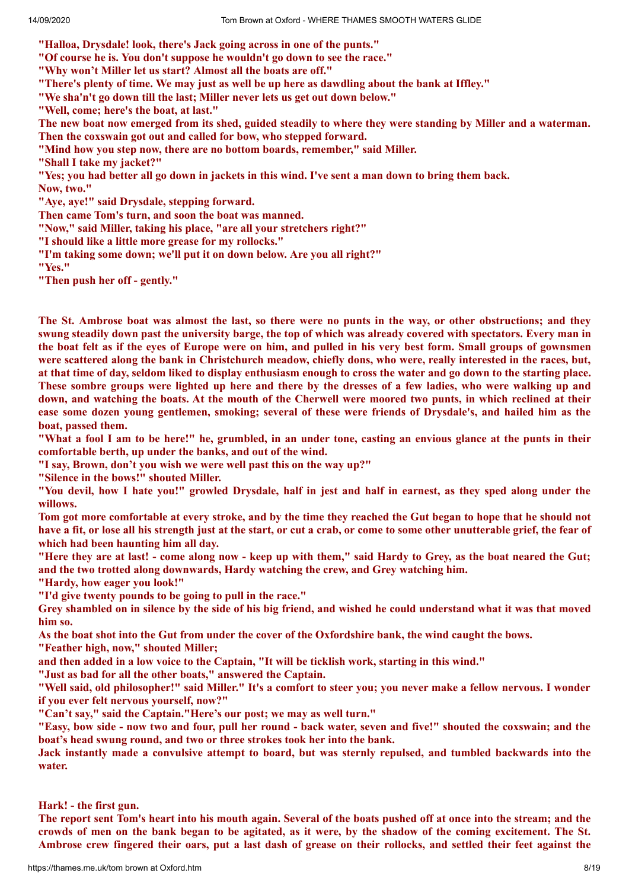**"Halloa, Drysdale! look, there's Jack going across in one of the punts."**

**"Of course he is. You don't suppose he wouldn't go down to see the race."**

**"Why won't Miller let us start? Almost all the boats are off."**

"There's plenty of time. We may just as well be up here as dawdling about the bank at Iffley."

**"We sha'n't go down till the last; Miller never lets us get out down below."**

**"Well, come; here's the boat, at last."**

The new boat now emerged from its shed, guided steadily to where they were standing by Miller and a waterman. **Then the coxswain got out and called for bow, who stepped forward.**

**"Mind how you step now, there are no bottom boards, remember," said Miller.**

**"Shall I take my jacket?"**

"Yes; you had better all go down in jackets in this wind. I've sent a man down to bring them back. **Now, two."**

**"Aye, aye!" said Drysdale, stepping forward.**

**Then came Tom's turn, and soon the boat was manned.**

**"Now," said Miller, taking his place, "are all your stretchers right?"**

**"I should like a little more grease for my rollocks."**

**"I'm taking some down; we'll put it on down below. Are you all right?"**

**"Yes."**

**"Then push her off - gently."**

The St. Ambrose boat was almost the last, so there were no punts in the way, or other obstructions; and they swung steadily down past the university barge, the top of which was already covered with spectators. Every man in the boat felt as if the eves of Europe were on him, and pulled in his very best form. Small groups of gownsmen were scattered along the bank in Christchurch meadow, chiefly dons, who were, really interested in the races, but, at that time of day, seldom liked to display enthusiasm enough to cross the water and go down to the starting place. These sombre groups were lighted up here and there by the dresses of a few ladies, who were walking up and down, and watching the boats. At the mouth of the Cherwell were moored two punts, in which reclined at their ease some dozen young gentlemen, smoking; several of these were friends of Drysdale's, and hailed him as the **boat, passed them.**

"What a fool I am to be here!" he, grumbled, in an under tone, casting an envious glance at the punts in their **comfortable berth, up under the banks, and out of the wind.**

**"I say, Brown, don't you wish we were well past this on the way up?"**

**"Silence in the bows!" shouted Miller.**

"You devil, how I hate you!" growled Drysdale, half in jest and half in earnest, as they sped along under the **willows.**

Tom got more comfortable at every stroke, and by the time they reached the Gut began to hope that he should not have a fit, or lose all his strength just at the start, or cut a crab, or come to some other unutterable grief, the fear of **which had been haunting him all day.**

"Here they are at last! - come along now - keep up with them," said Hardy to Grey, as the boat neared the Gut; **and the two trotted along downwards, Hardy watching the crew, and Grey watching him.**

**"Hardy, how eager you look!"**

**"I'd give twenty pounds to be going to pull in the race."**

Grey shambled on in silence by the side of his big friend, and wished he could understand what it was that moved **him so.**

As the boat shot into the Gut from under the cover of the Oxfordshire bank, the wind caught the bows. **"Feather high, now," shouted Miller;**

and then added in a low voice to the Captain, "It will be ticklish work, starting in this wind."

**"Just as bad for all the other boats," answered the Captain.**

"Well said, old philosopher!" said Miller." It's a comfort to steer you; you never make a fellow nervous. I wonder **if you ever felt nervous yourself, now?"**

**"Can't say," said the Captain."Here's our post; we may as well turn."**

"Easy, bow side - now two and four, pull her round - back water, seven and five!" shouted the coxswain; and the **boat's head swung round, and two or three strokes took her into the bank.**

Jack instantly made a convulsive attempt to board, but was sternly repulsed, and tumbled backwards into the **water.**

#### **Hark! - the first gun.**

The report sent Tom's heart into his mouth again. Several of the boats pushed off at once into the stream; and the crowds of men on the bank began to be agitated, as it were, by the shadow of the coming excitement. The St. Ambrose crew fingered their oars, put a last dash of grease on their rollocks, and settled their feet against the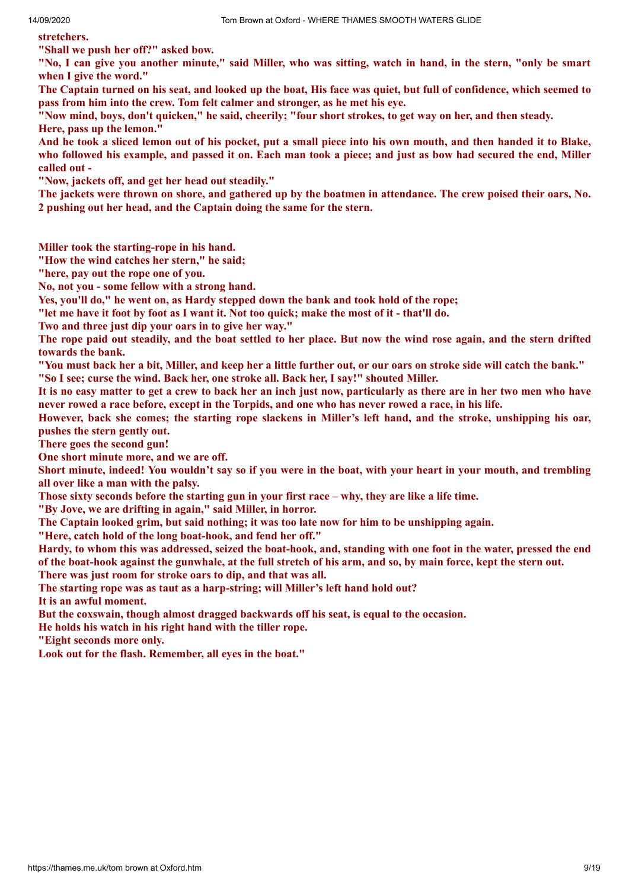**stretchers.**

**"Shall we push her off?" asked bow.**

"No, I can give you another minute," said Miller, who was sitting, watch in hand, in the stern, "only be smart **when I give the word."**

The Captain turned on his seat, and looked up the boat, His face was quiet, but full of confidence, which seemed to **pass from him into the crew. Tom felt calmer and stronger, as he met his eye.**

"Now mind, boys, don't quicken," he said, cheerily; "four short strokes, to get way on her, and then steady. **Here, pass up the lemon."**

And he took a sliced lemon out of his pocket, put a small piece into his own mouth, and then handed it to Blake, who followed his example, and passed it on. Each man took a piece; and just as bow had secured the end, Miller **called out -**

**"Now, jackets off, and get her head out steadily."**

The jackets were thrown on shore, and gathered up by the boatmen in attendance. The crew poised their oars, No. **2 pushing out her head, and the Captain doing the same for the stern.**

**Miller took the starting-rope in his hand.**

**"How the wind catches her stern," he said;**

**"here, pay out the rope one of you.**

**No, not you - some fellow with a strong hand.**

**Yes, you'll do," he went on, as Hardy stepped down the bank and took hold of the rope;**

"let me have it foot by foot as I want it. Not too quick; make the most of it - that'll do.

**Two and three just dip your oars in to give her way."**

The rope paid out steadily, and the boat settled to her place. But now the wind rose again, and the stern drifted **towards the bank.**

"You must back her a bit, Miller, and keep her a little further out, or our oars on stroke side will catch the bank."

**"So I see; curse the wind. Back her, one stroke all. Back her, I say!" shouted Miller.**

It is no easy matter to get a crew to back her an inch just now, particularly as there are in her two men who have never rowed a race before, except in the Torpids, and one who has never rowed a race, in his life.

However, back she comes; the starting rope slackens in Miller's left hand, and the stroke, unshipping his oar, **pushes the stern gently out.**

**There goes the second gun!**

**One short minute more, and we are off.**

Short minute, indeed! You wouldn't say so if you were in the boat, with your heart in your mouth, and trembling **all over like a man with the palsy.**

Those sixty seconds before the starting gun in your first race – why, they are like a life time.

**"By Jove, we are drifting in again," said Miller, in horror.**

**The Captain looked grim, but said nothing; it was too late now for him to be unshipping again.**

**"Here, catch hold of the long boat-hook, and fend her off."**

Hardy, to whom this was addressed, seized the boat-hook, and, standing with one foot in the water, pressed the end of the boat-hook against the gunwhale, at the full stretch of his arm, and so, by main force, kept the stern out.

**There was just room for stroke oars to dip, and that was all.**

**The starting rope was as taut as a harp-string; will Miller's left hand hold out?**

**It is an awful moment.**

**But the coxswain, though almost dragged backwards off his seat, is equal to the occasion.**

**He holds his watch in his right hand with the tiller rope.**

**"Eight seconds more only.**

**Look out for the flash. Remember, all eyes in the boat."**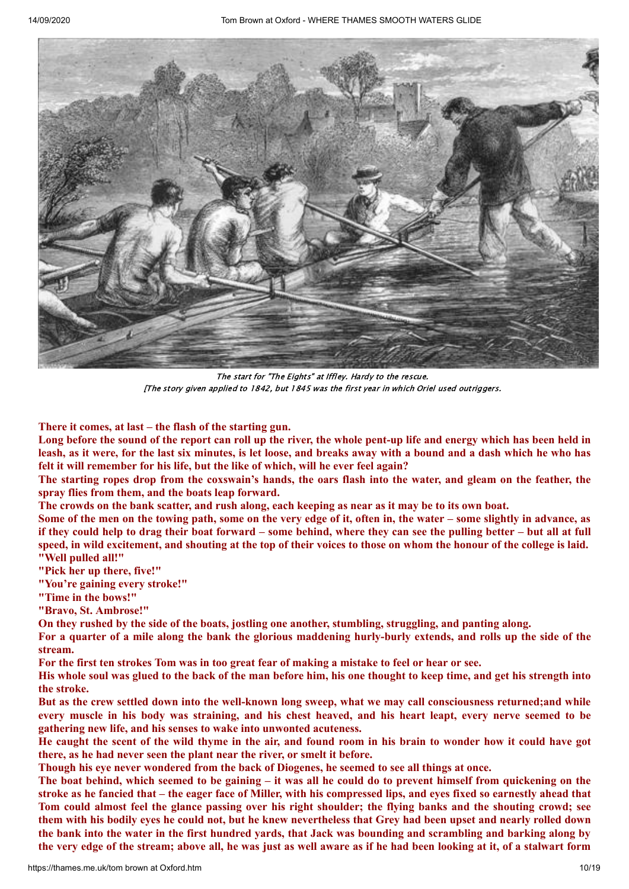

The start for "The Eights" at Iffley. Hardy to the rescue. [The story given applied to 1842, but 1845 was the first year in which Oriel used outriggers.

#### **There it comes, at last – the flash of the starting gun.**

Long before the sound of the report can roll up the river, the whole pent-up life and energy which has been held in leash, as it were, for the last six minutes, is let loose, and breaks away with a bound and a dash which he who has **felt it will remember for his life, but the like of which, will he ever feel again?**

The starting ropes drop from the coxswain's hands, the oars flash into the water, and gleam on the feather, the **spray flies from them, and the boats leap forward.**

The crowds on the bank scatter, and rush along, each keeping as near as it may be to its own boat.

Some of the men on the towing path, some on the very edge of it, often in, the water – some slightly in advance, as if they could help to drag their boat forward – some behind, where they can see the pulling better – but all at full speed, in wild excitement, and shouting at the top of their voices to those on whom the honour of the college is laid. **"Well pulled all!"**

**"Pick her up there, five!"**

**"You're gaining every stroke!"**

**"Time in the bows!"**

**"Bravo, St. Ambrose!"**

**On they rushed by the side of the boats, jostling one another, stumbling, struggling, and panting along.**

For a quarter of a mile along the bank the glorious maddening hurly-burly extends, and rolls up the side of the **stream.**

For the first ten strokes Tom was in too great fear of making a mistake to feel or hear or see.

His whole soul was glued to the back of the man before him, his one thought to keep time, and get his strength into **the stroke.**

But as the crew settled down into the well-known long sweep, what we may call consciousness returned; and while every muscle in his body was straining, and his chest heaved, and his heart leapt, every nerve seemed to be **gathering new life, and his senses to wake into unwonted acuteness.**

He caught the scent of the wild thyme in the air, and found room in his brain to wonder how it could have got **there, as he had never seen the plant near the river, or smelt it before.**

**Though his eye never wondered from the back of Diogenes, he seemed to see all things at once.**

The boat behind, which seemed to be gaining – it was all he could do to prevent himself from quickening on the stroke as he fancied that – the eager face of Miller, with his compressed lips, and eves fixed so earnestly ahead that Tom could almost feel the glance passing over his right shoulder; the flying banks and the shouting crowd; see them with his bodily eves he could not, but he knew nevertheless that Grey had been upset and nearly rolled down the bank into the water in the first hundred yards, that Jack was bounding and scrambling and barking along by the very edge of the stream; above all, he was just as well aware as if he had been looking at it, of a stalwart form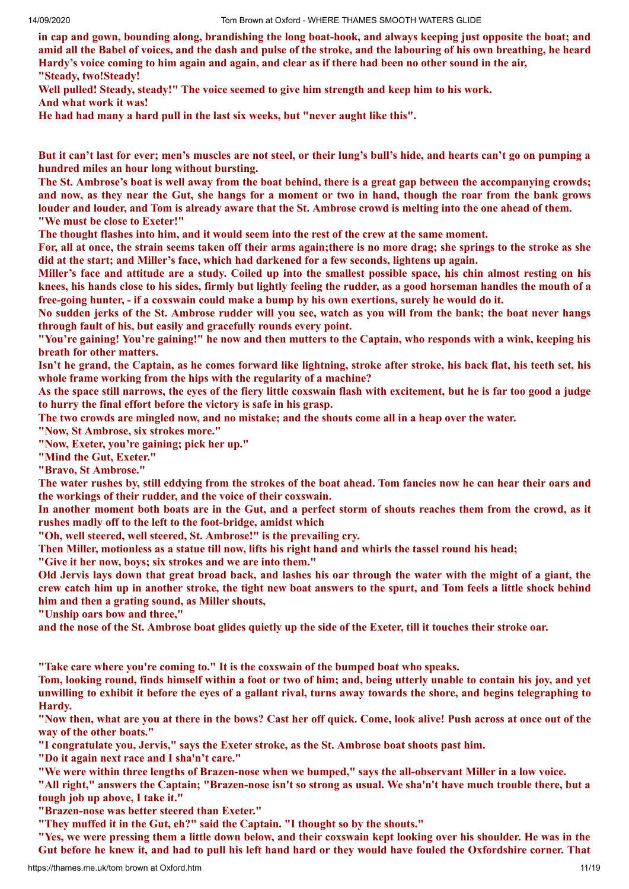in cap and gown, bounding along, brandishing the long boat-hook, and always keeping just opposite the boat; and amid all the Babel of voices, and the dash and pulse of the stroke, and the labouring of his own breathing, he heard Hardy's voice coming to him again and again, and clear as if there had been no other sound in the air, **"Steady, two!Steady!**

**Well pulled! Steady, steady!" The voice seemed to give him strength and keep him to his work. And what work it was!**

**He had had many a hard pull in the last six weeks, but "never aught like this".**

But it can't last for ever; men's muscles are not steel, or their lung's bull's hide, and hearts can't go on pumping a **hundred miles an hour long without bursting.**

The St. Ambrose's boat is well away from the boat behind, there is a great gap between the accompanying crowds; and now, as they near the Gut, she hangs for a moment or two in hand, though the roar from the bank grows louder and louder, and Tom is already aware that the St. Ambrose crowd is melting into the one ahead of them. **"We must be close to Exeter!"**

The thought flashes into him, and it would seem into the rest of the crew at the same moment.

For, all at once, the strain seems taken off their arms again; there is no more drag; she springs to the stroke as she **did at the start; and Miller's face, which had darkened for a few seconds, lightens up again.**

Miller's face and attitude are a study. Coiled up into the smallest possible space, his chin almost resting on his knees, his hands close to his sides, firmly but lightly feeling the rudder, as a good horseman handles the mouth of a free-going hunter, - if a coxswain could make a bump by his own exertions, surely he would do it.

No sudden jerks of the St. Ambrose rudder will you see, watch as you will from the bank; the boat never hangs **through fault of his, but easily and gracefully rounds every point.**

"You're gaining! You're gaining!" he now and then mutters to the Captain, who responds with a wink, keeping his **breath for other matters.**

Isn't he grand, the Captain, as he comes forward like lightning, stroke after stroke, his back flat, his teeth set, his **whole frame working from the hips with the regularity of a machine?**

As the space still narrows, the eyes of the fiery little coxswain flash with excitement, but he is far too good a judge **to hurry the final effort before the victory is safe in his grasp.**

The two crowds are mingled now, and no mistake; and the shouts come all in a heap over the water.

**"Now, St Ambrose, six strokes more."**

**"Now, Exeter, you're gaining; pick her up."**

**"Mind the Gut, Exeter."**

**"Bravo, St Ambrose."**

The water rushes by, still eddying from the strokes of the boat ahead. Tom fancies now he can hear their oars and **the workings of their rudder, and the voice of their coxswain.**

In another moment both boats are in the Gut, and a perfect storm of shouts reaches them from the crowd, as it **rushes madly off to the left to the foot-bridge, amidst which**

**"Oh, well steered, well steered, St. Ambrose!" is the prevailing cry.**

Then Miller, motionless as a statue till now, lifts his right hand and whirls the tassel round his head;

**"Give it her now, boys; six strokes and we are into them."**

Old Jervis lays down that great broad back, and lashes his oar through the water with the might of a giant, the crew catch him up in another stroke, the tight new boat answers to the spurt, and Tom feels a little shock behind **him and then a grating sound, as Miller shouts,**

**"Unship oars bow and three,"**

and the nose of the St. Ambrose boat glides quietly up the side of the Exeter, till it touches their stroke oar.

**"Take care where you're coming to." It is the coxswain of the bumped boat who speaks.**

Tom, looking round, finds himself within a foot or two of him; and, being utterly unable to contain his joy, and yet unwilling to exhibit it before the eves of a gallant rival, turns away towards the shore, and begins telegraphing to **Hardy.**

"Now then, what are you at there in the bows? Cast her off quick. Come, look alive! Push across at once out of the **way of the other boats."**

**"I congratulate you, Jervis," says the Exeter stroke, as the St. Ambrose boat shoots past him.**

**"Do it again next race and I sha'n't care."**

"We were within three lengths of Brazen-nose when we bumped," says the all-observant Miller in a low voice.

"All right," answers the Captain; "Brazen-nose isn't so strong as usual. We sha'n't have much trouble there, but a **tough job up above, I take it."**

**"Brazen-nose was better steered than Exeter."**

**"They muffed it in the Gut, eh?" said the Captain. "I thought so by the shouts."**

"Yes, we were pressing them a little down below, and their coxswain kept looking over his shoulder. He was in the Gut before he knew it, and had to pull his left hand hard or they would have fouled the Oxfordshire corner. That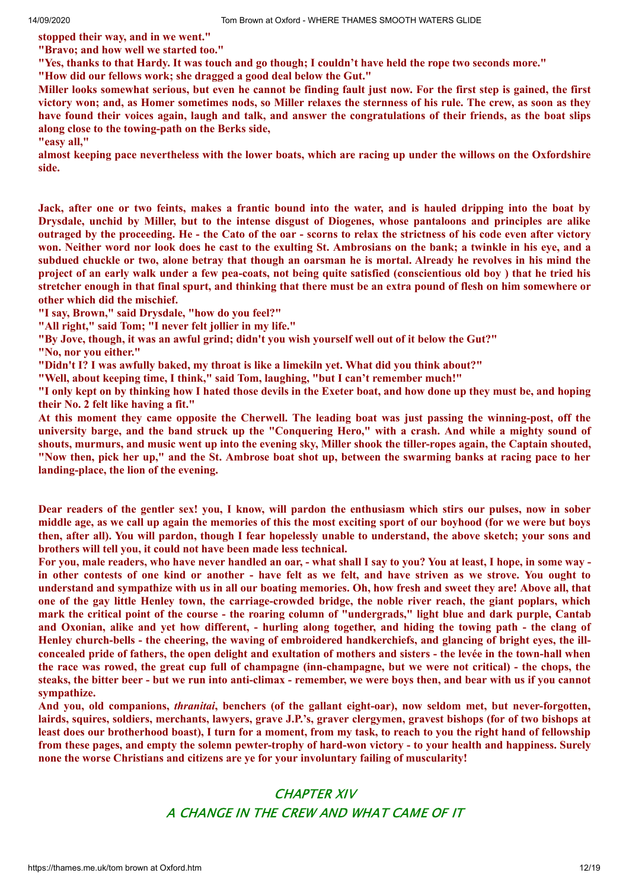**stopped their way, and in we went." "Bravo; and how well we started too."**

"Yes, thanks to that Hardy. It was touch and go though; I couldn't have held the rope two seconds more."

**"How did our fellows work; she dragged a good deal below the Gut."**

Miller looks somewhat serious, but even he cannot be finding fault just now. For the first step is gained, the first victory won; and, as Homer sometimes nods, so Miller relaxes the sternness of his rule. The crew, as soon as they have found their voices again, laugh and talk, and answer the congratulations of their friends, as the boat slips **along close to the towing-path on the Berks side,**

**"easy all,"**

almost keeping pace nevertheless with the lower boats, which are racing up under the willows on the Oxfordshire **side.**

Jack, after one or two feints, makes a frantic bound into the water, and is hauled dripping into the boat by Drysdale, unchid by Miller, but to the intense disgust of Diogenes, whose pantaloons and principles are alike outraged by the proceeding. He - the Cato of the oar - scorns to relax the strictness of his code even after victory won. Neither word nor look does he cast to the exulting St. Ambrosians on the bank; a twinkle in his eye, and a subdued chuckle or two, alone betray that though an oarsman he is mortal. Already he revolves in his mind the project of an early walk under a few pea-coats, not being quite satisfied (conscientious old boy) that he tried his stretcher enough in that final spurt, and thinking that there must be an extra pound of flesh on him somewhere or **other which did the mischief.**

**"I say, Brown," said Drysdale, "how do you feel?"**

**"All right," said Tom; "I never felt jollier in my life."**

"By Jove, though, it was an awful grind; didn't you wish yourself well out of it below the Gut?"

**"No, nor you either."**

**"Didn't I? I was awfully baked, my throat is like a limekiln yet. What did you think about?"**

**"Well, about keeping time, I think," said Tom, laughing, "but I can't remember much!"**

"I only kept on by thinking how I hated those devils in the Exeter boat, and how done up they must be, and hoping **their No. 2 felt like having a fit."**

At this moment they came opposite the Cherwell. The leading boat was just passing the winning-post, off the university barge, and the band struck up the "Conquering Hero," with a crash. And while a mighty sound of shouts, murmurs, and music went up into the evening sky, Miller shook the tiller-ropes again, the Captain shouted, "Now then, pick her up," and the St. Ambrose boat shot up, between the swarming banks at racing pace to her **landing-place, the lion of the evening.**

Dear readers of the gentler sex! you, I know, will pardon the enthusiasm which stirs our pulses, now in sober middle age, as we call up again the memories of this the most exciting sport of our boyhood (for we were but boys then, after all). You will pardon, though I fear hopelessly unable to understand, the above sketch; your sons and **brothers will tell you, it could not have been made less technical.**

For you, male readers, who have never handled an oar, - what shall I say to you? You at least, I hope, in some way in other contests of one kind or another - have felt as we felt, and have striven as we strove. You ought to understand and sympathize with us in all our boating memories. Oh, how fresh and sweet they are! Above all, that one of the gay little Henley town, the carriage-crowded bridge, the noble river reach, the giant poplars, which mark the critical point of the course - the roaring column of "undergrads," light blue and dark purple, Cantab and Oxonian, alike and yet how different, - hurling along together, and hiding the towing path - the clang of Henley church-bells - the cheering, the waving of embroidered handkerchiefs, and glancing of bright eves, the illconcealed pride of fathers, the open delight and exultation of mothers and sisters - the levée in the town-hall when the race was rowed, the great cup full of champagne (inn-champagne, but we were not critical) - the chops, the steaks, the bitter beer - but we run into anti-climax - remember, we were boys then, and bear with us if you cannot **sympathize.**

**And you, old companions,** *thranitai***, benchers (of the gallant eight-oar), now seldom met, but never-forgotten,** lairds, squires, soldiers, merchants, lawyers, grave J.P.'s, graver clergymen, gravest bishops (for of two bishops at least does our brotherhood boast), I turn for a moment, from my task, to reach to you the right hand of fellowship from these pages, and empty the solemn pewter-trophy of hard-won victory - to your health and happiness. Surely **none the worse Christians and citizens are ye for your involuntary failing of muscularity!**

# CHAPTER XIV A CHANGE IN THE CREW AND WHAT CAME OF IT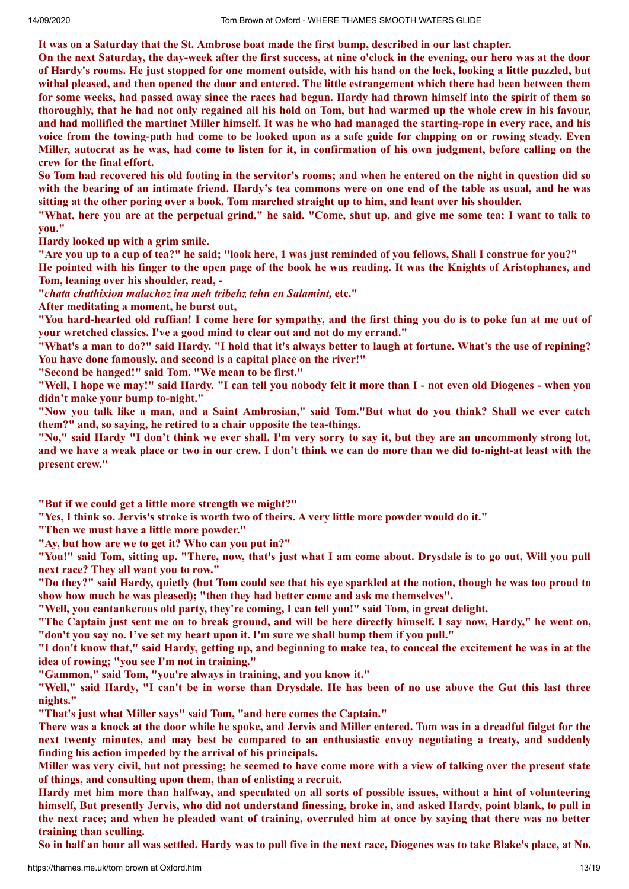It was on a Saturday that the St. Ambrose boat made the first bump, described in our last chapter.

On the next Saturday, the day-week after the first success, at nine o'clock in the evening, our hero was at the door of Hardy's rooms. He just stopped for one moment outside, with his hand on the lock, looking a little puzzled, but withal pleased, and then opened the door and entered. The little estrangement which there had been between them for some weeks, had passed away since the races had begun. Hardy had thrown himself into the spirit of them so thoroughly, that he had not only regained all his hold on Tom, but had warmed up the whole crew in his favour, and had mollified the martinet Miller himself. It was he who had managed the starting-rope in every race, and his voice from the towing-path had come to be looked upon as a safe guide for clapping on or rowing steady. Even Miller, autocrat as he was, had come to listen for it, in confirmation of his own judgment, before calling on the **crew for the final effort.**

So Tom had recovered his old footing in the servitor's rooms; and when he entered on the night in question did so with the bearing of an intimate friend. Hardy's tea commons were on one end of the table as usual, and he was sitting at the other poring over a book. Tom marched straight up to him, and leant over his shoulder.

"What, here you are at the perpetual grind," he said. "Come, shut up, and give me some tea: I want to talk to **you."**

**Hardy looked up with a grim smile.**

"Are you up to a cup of tea?" he said; "look here, 1 was just reminded of you fellows, Shall I construe for you?"

He pointed with his finger to the open page of the book he was reading. It was the Knights of Aristophanes, and **Tom, leaning over his shoulder, read, -**

**"***chata chathixion malachoz ina meh tribehz tehn en Salamint,* **etc."**

**After meditating a moment, he burst out,**

"You hard-hearted old ruffian! I come here for sympathy, and the first thing you do is to poke fun at me out of **your wretched classics. I've a good mind to clear out and not do my errand."**

"What's a man to do?" said Hardy. "I hold that it's always better to laugh at fortune. What's the use of repining? **You have done famously, and second is a capital place on the river!"**

**"Second be hanged!" said Tom. "We mean to be first."**

"Well, I hope we may!" said Hardy. "I can tell you nobody felt it more than I - not even old Diogenes - when you **didn't make your bump to-night."**

"Now you talk like a man, and a Saint Ambrosian," said Tom."But what do you think? Shall we ever catch **them?" and, so saying, he retired to a chair opposite the tea-things.**

"No," said Hardy "I don't think we ever shall. I'm very sorry to say it, but they are an uncommonly strong lot, and we have a weak place or two in our crew. I don't think we can do more than we did to-night-at least with the **present crew."**

**"But if we could get a little more strength we might?"**

"Yes, I think so. Jervis's stroke is worth two of theirs. A very little more powder would do it."

**"Then we must have a little more powder."**

**"Ay, but how are we to get it? Who can you put in?"**

"You!" said Tom, sitting up. "There, now, that's just what I am come about. Drysdale is to go out, Will you pull **next race? They all want you to row."**

"Do they?" said Hardy, quietly (but Tom could see that his eye sparkled at the notion, though he was too proud to **show how much he was pleased); "then they had better come and ask me themselves".**

**"Well, you cantankerous old party, they're coming, I can tell you!" said Tom, in great delight.**

"The Captain just sent me on to break ground, and will be here directly himself. I say now, Hardy," he went on, **"don't you say no. I've set my heart upon it. I'm sure we shall bump them if you pull."**

"I don't know that," said Hardy, getting up, and beginning to make tea, to conceal the excitement he was in at the **idea of rowing; "you see I'm not in training."**

**"Gammon," said Tom, "you're always in training, and you know it."**

"Well," said Hardy, "I can't be in worse than Drysdale. He has been of no use above the Gut this last three **nights."**

**"That's just what Miller says" said Tom, "and here comes the Captain."**

There was a knock at the door while he spoke, and Jervis and Miller entered. Tom was in a dreadful fidget for the **next twenty minutes, and may best be compared to an enthusiastic envoy negotiating a treaty, and suddenly finding his action impeded by the arrival of his principals.**

Miller was very civil, but not pressing; he seemed to have come more with a view of talking over the present state **of things, and consulting upon them, than of enlisting a recruit.**

Hardy met him more than halfway, and speculated on all sorts of possible issues, without a hint of volunteering himself, But presently Jervis, who did not understand finessing, broke in, and asked Hardy, point blank, to pull in the next race; and when he pleaded want of training, overruled him at once by saying that there was no better **training than sculling.**

So in half an hour all was settled. Hardy was to pull five in the next race, Diogenes was to take Blake's place, at No.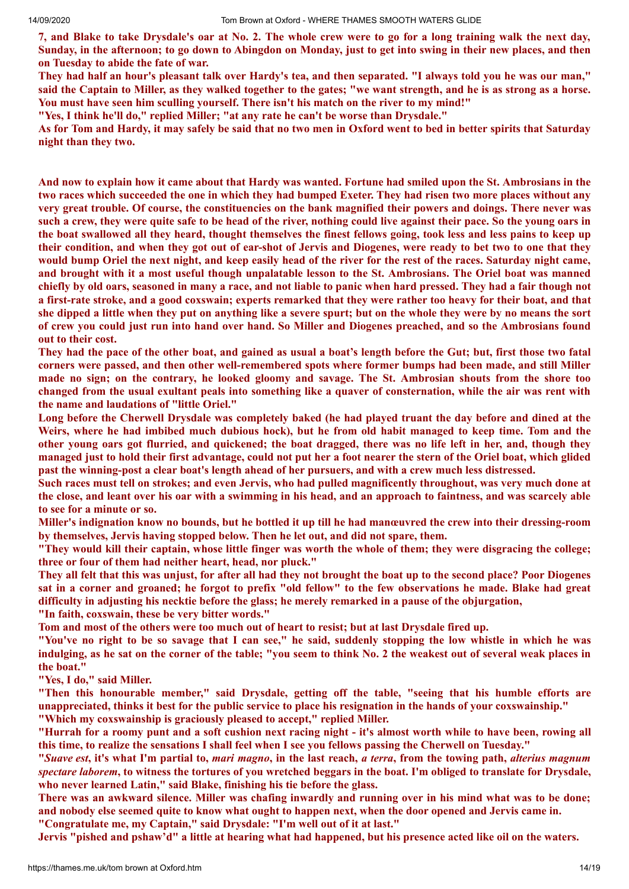7, and Blake to take Drysdale's oar at No. 2. The whole crew were to go for a long training walk the next day, Sunday, in the afternoon; to go down to Abingdon on Monday, just to get into swing in their new places, and then **on Tuesday to abide the fate of war.**

They had half an hour's pleasant talk over Hardy's tea, and then separated. "I always told you he was our man," said the Captain to Miller, as they walked together to the gates; "we want strength, and he is as strong as a horse. **You must have seen him sculling yourself. There isn't his match on the river to my mind!"**

**"Yes, I think he'll do," replied Miller; "at any rate he can't be worse than Drysdale."**

As for Tom and Hardy, it may safely be said that no two men in Oxford went to bed in better spirits that Saturday **night than they two.**

And now to explain how it came about that Hardy was wanted. Fortune had smiled upon the St. Ambrosians in the two races which succeeded the one in which they had bumped Exeter. They had risen two more places without any very great trouble. Of course, the constituencies on the bank magnified their powers and doings. There never was such a crew, they were quite safe to be head of the river, nothing could live against their pace. So the young oars in the boat swallowed all they heard, thought themselves the finest fellows going, took less and less pains to keep up their condition, and when they got out of ear-shot of Jervis and Diogenes, were ready to bet two to one that they would bump Oriel the next night, and keep easily head of the river for the rest of the races. Saturday night came, and brought with it a most useful though unpalatable lesson to the St. Ambrosians. The Oriel boat was manned chiefly by old oars, seasoned in many a race, and not liable to panic when hard pressed. They had a fair though not a first-rate stroke, and a good coxswain; experts remarked that they were rather too heavy for their boat, and that she dipped a little when they put on anything like a severe spurt; but on the whole they were by no means the sort of crew you could just run into hand over hand. So Miller and Diogenes preached, and so the Ambrosians found **out to their cost.**

They had the pace of the other boat, and gained as usual a boat's length before the Gut; but, first those two fatal corners were passed, and then other well-remembered spots where former bumps had been made, and still Miller made no sign; on the contrary, he looked gloomy and savage. The St. Ambrosian shouts from the shore too changed from the usual exultant peals into something like a quaver of consternation, while the air was rent with **the name and laudations of "little Oriel."**

Long before the Cherwell Drysdale was completely baked (he had played truant the day before and dined at the Weirs, where he had imbibed much dubious hock), but he from old habit managed to keep time. Tom and the other young oars got flurried, and quickened; the boat dragged, there was no life left in her, and, though they managed just to hold their first advantage, could not put her a foot nearer the stern of the Oriel boat, which glided past the winning-post a clear boat's length ahead of her pursuers, and with a crew much less distressed.

Such races must tell on strokes; and even Jervis, who had pulled magnificently throughout, was very much done at the close, and leant over his oar with a swimming in his head, and an approach to faintness, and was scarcely able **to see for a minute or so.**

Miller's indignation know no bounds, but he bottled it up till he had manœuvred the crew into their dressing-room **by themselves, Jervis having stopped below. Then he let out, and did not spare, them.**

"They would kill their captain, whose little finger was worth the whole of them; they were disgracing the college; **three or four of them had neither heart, head, nor pluck."**

They all felt that this was unjust, for after all had they not brought the boat up to the second place? Poor Diogenes sat in a corner and groaned; he forgot to prefix "old fellow" to the few observations he made. Blake had great **difficulty in adjusting his necktie before the glass; he merely remarked in a pause of the objurgation, "In faith, coxswain, these be very bitter words."**

Tom and most of the others were too much out of heart to resist; but at last Drysdale fired up.

"You've no right to be so savage that I can see," he said, suddenly stopping the low whistle in which he was indulging, as he sat on the corner of the table: "you seem to think No. 2 the weakest out of several weak places in **the boat."**

**"Yes, I do," said Miller.**

**"Then this honourable member," said Drysdale, getting off the table, "seeing that his humble efforts are** unappreciated, thinks it best for the public service to place his resignation in the hands of your coxswainship." **"Which my coxswainship is graciously pleased to accept," replied Miller.**

"Hurrah for a roomy punt and a soft cushion next racing night - it's almost worth while to have been, rowing all this time, to realize the sensations I shall feel when I see you fellows passing the Cherwell on Tuesday."

"Suave est, it's what I'm partial to, *mari magno*, in the last reach, *a terra*, from the towing path, *alterius magnum* spectare laborem, to witness the tortures of you wretched beggars in the boat. I'm obliged to translate for Drysdale, **who never learned Latin," said Blake, finishing his tie before the glass.**

There was an awkward silence. Miller was chafing inwardly and running over in his mind what was to be done; and nobody else seemed quite to know what ought to happen next, when the door opened and Jervis came in. **"Congratulate me, my Captain," said Drysdale: "I'm well out of it at last."**

Jervis "pished and pshaw'd" a little at hearing what had happened, but his presence acted like oil on the waters.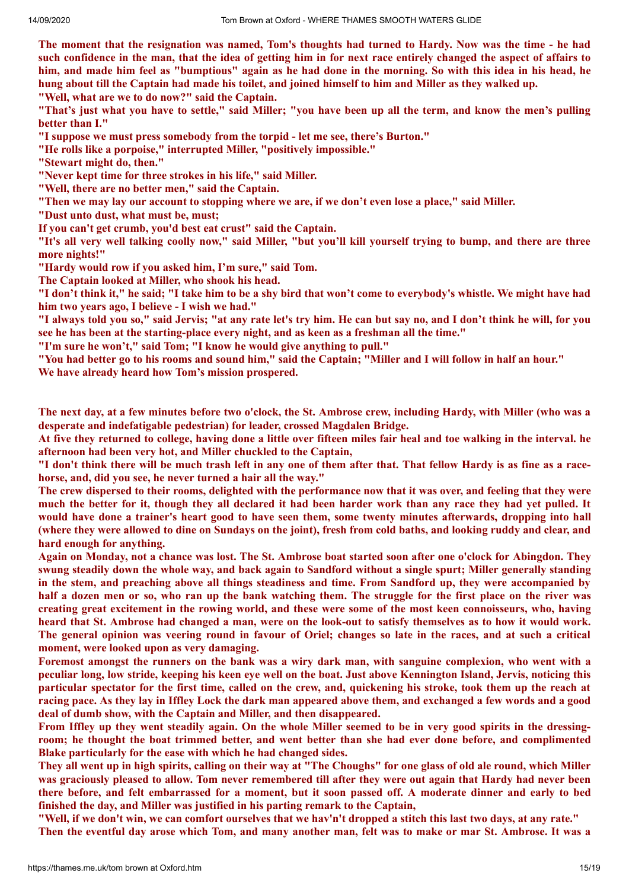The moment that the resignation was named, Tom's thoughts had turned to Hardy. Now was the time - he had such confidence in the man, that the idea of getting him in for next race entirely changed the aspect of affairs to him, and made him feel as "bumptious" again as he had done in the morning. So with this idea in his head, he hung about till the Captain had made his toilet, and joined himself to him and Miller as they walked up. **"Well, what are we to do now?" said the Captain.**

"That's just what you have to settle," said Miller; "you have been up all the term, and know the men's pulling **better than I."**

**"I suppose we must press somebody from the torpid - let me see, there's Burton."**

**"He rolls like a porpoise," interrupted Miller, "positively impossible."**

**"Stewart might do, then."**

**"Never kept time for three strokes in his life," said Miller.**

**"Well, there are no better men," said the Captain.**

"Then we may lay our account to stopping where we are, if we don't even lose a place," said Miller.

**"Dust unto dust, what must be, must;**

**If you can't get crumb, you'd best eat crust" said the Captain.**

"It's all very well talking coolly now," said Miller, "but you'll kill yourself trying to bump, and there are three **more nights!"**

**"Hardy would row if you asked him, I'm sure," said Tom.**

**The Captain looked at Miller, who shook his head.**

"I don't think it," he said; "I take him to be a shy bird that won't come to everybody's whistle. We might have had **him two years ago, I believe - I wish we had."**

"I always told you so," said Jervis; "at any rate let's try him. He can but say no, and I don't think he will, for you **see he has been at the starting-place every night, and as keen as a freshman all the time."**

**"I'm sure he won't," said Tom; "I know he would give anything to pull."**

"You had better go to his rooms and sound him," said the Captain; "Miller and I will follow in half an hour." **We have already heard how Tom's mission prospered.**

The next day, at a few minutes before two o'clock, the St. Ambrose crew, including Hardy, with Miller (who was a **desperate and indefatigable pedestrian) for leader, crossed Magdalen Bridge.**

At five they returned to college, having done a little over fifteen miles fair heal and toe walking in the interval, he **afternoon had been very hot, and Miller chuckled to the Captain,**

"I don't think there will be much trash left in any one of them after that. That fellow Hardy is as fine as a race**horse, and, did you see, he never turned a hair all the way."**

The crew dispersed to their rooms, delighted with the performance now that it was over, and feeling that they were much the better for it, though they all declared it had been harder work than any race they had yet pulled. It would have done a trainer's heart good to have seen them, some twenty minutes afterwards, dropping into hall (where they were allowed to dine on Sundays on the joint), fresh from cold baths, and looking ruddy and clear, and **hard enough for anything.**

Again on Monday, not a chance was lost. The St. Ambrose boat started soon after one o'clock for Abingdon. They swung steadily down the whole way, and back again to Sandford without a single spurt; Miller generally standing in the stem, and preaching above all things steadiness and time. From Sandford up, they were accompanied by half a dozen men or so, who ran up the bank watching them. The struggle for the first place on the river was creating great excitement in the rowing world, and these were some of the most keen connoisseurs, who, having heard that St. Ambrose had changed a man, were on the look-out to satisfy themselves as to how it would work. The general opinion was veering round in favour of Oriel; changes so late in the races, and at such a critical **moment, were looked upon as very damaging.**

Foremost amongst the runners on the bank was a wiry dark man, with sanguine complexion, who went with a peculiar long, low stride, keeping his keen eye well on the boat. Just above Kennington Island, Jervis, noticing this particular spectator for the first time, called on the crew, and, quickening his stroke, took them up the reach at racing pace. As they lay in Iffley Lock the dark man appeared above them, and exchanged a few words and a good **deal of dumb show, with the Captain and Miller, and then disappeared.**

From Iffley up they went steadily again. On the whole Miller seemed to be in very good spirits in the dressingroom; he thought the boat trimmed better, and went better than she had ever done before, and complimented **Blake particularly for the ease with which he had changed sides.**

They all went up in high spirits, calling on their way at "The Choughs" for one glass of old ale round, which Miller was graciously pleased to allow. Tom never remembered till after they were out again that Hardy had never been there before, and felt embarrassed for a moment, but it soon passed off. A moderate dinner and early to bed **finished the day, and Miller was justified in his parting remark to the Captain,**

"Well, if we don't win, we can comfort ourselves that we hav'n't dropped a stitch this last two days, at any rate." Then the eventful day arose which Tom, and many another man, felt was to make or mar St. Ambrose. It was a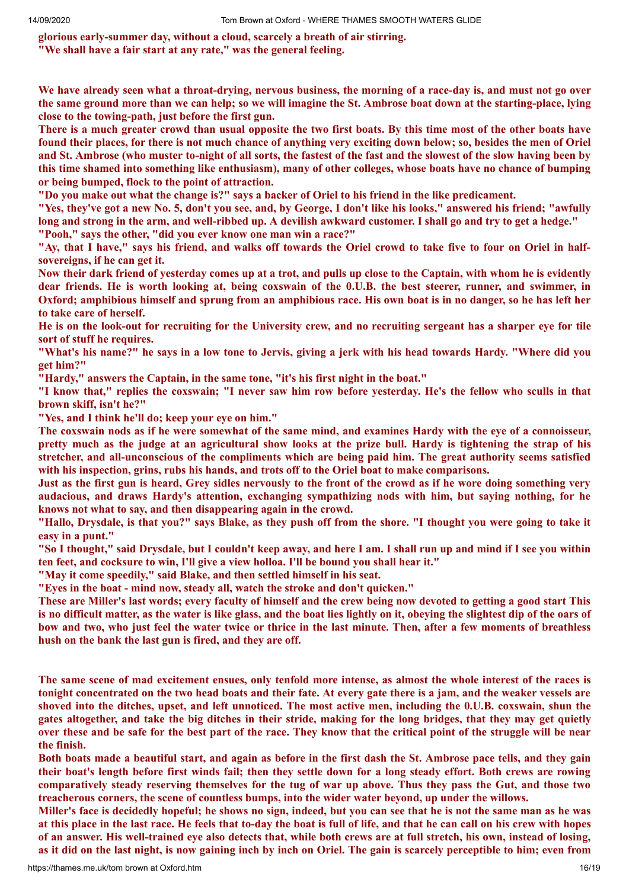**glorious early-summer day, without a cloud, scarcely a breath of air stirring.**

**"We shall have a fair start at any rate," was the general feeling.**

We have already seen what a throat-drying, nervous business, the morning of a race-day is, and must not go over the same ground more than we can help; so we will imagine the St. Ambrose boat down at the starting-place, lying **close to the towing-path, just before the first gun.**

There is a much greater crowd than usual opposite the two first boats. By this time most of the other boats have found their places, for there is not much chance of anything very exciting down below; so, besides the men of Oriel and St. Ambrose (who muster to-night of all sorts, the fastest of the fast and the slowest of the slow having been by this time shamed into something like enthusiasm), many of other colleges, whose boats have no chance of bumping **or being bumped, flock to the point of attraction.**

"Do you make out what the change is?" says a backer of Oriel to his friend in the like predicament.

"Yes, they've got a new No. 5, don't you see, and, by George, I don't like his looks," answered his friend; "awfully long and strong in the arm, and well-ribbed up. A devilish awkward customer. I shall go and try to get a hedge." **"Pooh," says the other, "did you ever know one man win a race?"**

"Ay, that I have," says his friend, and walks off towards the Oriel crowd to take five to four on Oriel in half**sovereigns, if he can get it.**

Now their dark friend of vesterday comes up at a trot, and pulls up close to the Captain, with whom he is evidently dear friends. He is worth looking at, being coxswain of the 0.U.B. the best steerer, runner, and swimmer, in Oxford; amphibious himself and sprung from an amphibious race. His own boat is in no danger, so he has left her **to take care of herself.**

He is on the look-out for recruiting for the University crew, and no recruiting sergeant has a sharper eve for tile **sort of stuff he requires.**

"What's his name?" he says in a low tone to Jervis, giving a jerk with his head towards Hardy. "Where did you **get him?"**

**"Hardy," answers the Captain, in the same tone, "it's his first night in the boat."**

"I know that," replies the coxswain; "I never saw him row before yesterday. He's the fellow who sculls in that **brown skiff, isn't he?"**

**"Yes, and I think he'll do; keep your eye on him."**

The coxswain nods as if he were somewhat of the same mind, and examines Hardy with the eye of a connoisseur, pretty much as the judge at an agricultural show looks at the prize bull. Hardy is tightening the strap of his **stretcher, and all-unconscious of the compliments which are being paid him. The great authority seems satisfied with his inspection, grins, rubs his hands, and trots off to the Oriel boat to make comparisons.**

Just as the first gun is heard, Grey sidles nervously to the front of the crowd as if he wore doing something very **audacious, and draws Hardy's attention, exchanging sympathizing nods with him, but saying nothing, for he knows not what to say, and then disappearing again in the crowd.**

"Hallo, Drysdale, is that you?" says Blake, as they push off from the shore. "I thought you were going to take it **easy in a punt."**

"So I thought," said Drysdale, but I couldn't keep away, and here I am. I shall run up and mind if I see you within **ten feet, and cocksure to win, I'll give a view holloa. I'll be bound you shall hear it."**

**"May it come speedily," said Blake, and then settled himself in his seat.**

**"Eyes in the boat - mind now, steady all, watch the stroke and don't quicken."**

These are Miller's last words; every faculty of himself and the crew being now devoted to getting a good start This is no difficult matter, as the water is like glass, and the boat lies lightly on it, obeying the slightest dip of the oars of bow and two, who just feel the water twice or thrice in the last minute. Then, after a few moments of breathless **hush on the bank the last gun is fired, and they are off.**

The same scene of mad excitement ensues, only tenfold more intense, as almost the whole interest of the races is tonight concentrated on the two head boats and their fate. At every gate there is a jam, and the weaker vessels are shoved into the ditches, upset, and left unnoticed. The most active men, including the 0.U.B. coxswain, shun the gates altogether, and take the big ditches in their stride, making for the long bridges, that they may get quietly over these and be safe for the best part of the race. They know that the critical point of the struggle will be near **the finish.**

Both boats made a beautiful start, and again as before in the first dash the St. Ambrose pace tells, and they gain their boat's length before first winds fail; then they settle down for a long steady effort. Both crews are rowing comparatively steady reserving themselves for the tug of war up above. Thus they pass the Gut, and those two **treacherous corners, the scene of countless bumps, into the wider water beyond, up under the willows.**

Miller's face is decidedly hopeful; he shows no sign, indeed, but you can see that he is not the same man as he was at this place in the last race. He feels that to-day the boat is full of life, and that he can call on his crew with hopes of an answer. His well-trained eye also detects that, while both crews are at full stretch, his own, instead of losing, as it did on the last night, is now gaining inch by inch on Oriel. The gain is scarcely perceptible to him; even from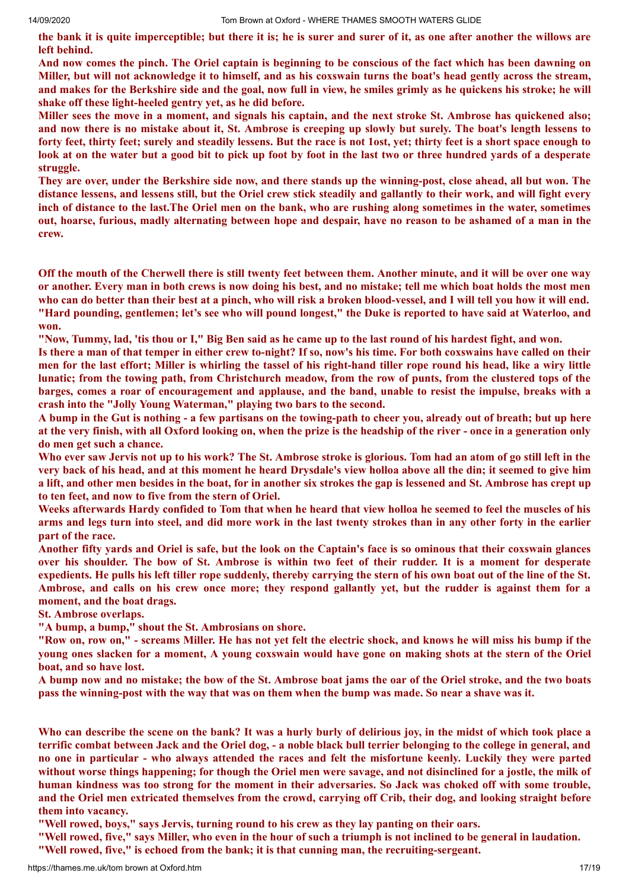the bank it is quite imperceptible; but there it is; he is surer and surer of it, as one after another the willows are **left behind.**

And now comes the pinch. The Oriel captain is beginning to be conscious of the fact which has been dawning on Miller, but will not acknowledge it to himself, and as his coxswain turns the boat's head gently across the stream, and makes for the Berkshire side and the goal, now full in view, he smiles grimly as he quickens his stroke; he will **shake off these light-heeled gentry yet, as he did before.**

Miller sees the move in a moment, and signals his captain, and the next stroke St. Ambrose has quickened also; and now there is no mistake about it, St. Ambrose is creeping up slowly but surely. The boat's length lessens to forty feet, thirty feet; surely and steadily lessens. But the race is not 1ost, yet; thirty feet is a short space enough to look at on the water but a good bit to pick up foot by foot in the last two or three hundred vards of a desperate **struggle.**

They are over, under the Berkshire side now, and there stands up the winning-post, close ahead, all but won. The distance lessens, and lessens still, but the Oriel crew stick steadily and gallantly to their work, and will fight every inch of distance to the last. The Oriel men on the bank, who are rushing along sometimes in the water, sometimes out, hoarse, furious, madly alternating between hope and despair, have no reason to be ashamed of a man in the **crew.**

Off the mouth of the Cherwell there is still twenty feet between them. Another minute, and it will be over one way or another. Every man in both crews is now doing his best, and no mistake; tell me which boat holds the most men who can do better than their best at a pinch, who will risk a broken blood-vessel, and I will tell you how it will end. "Hard pounding, gentlemen; let's see who will pound longest," the Duke is reported to have said at Waterloo, and **won.**

"Now, Tummy, lad, 'tis thou or I," Big Ben said as he came up to the last round of his hardest fight, and won.

Is there a man of that temper in either crew to-night? If so, now's his time. For both coxswains have called on their men for the last effort; Miller is whirling the tassel of his right-hand tiller rope round his head, like a wiry little lunatic; from the towing path, from Christchurch meadow, from the row of punts, from the clustered tops of the barges, comes a roar of encouragement and applause, and the band, unable to resist the impulse, breaks with a **crash into the "Jolly Young Waterman," playing two bars to the second.**

A bump in the Gut is nothing - a few partisans on the towing-path to cheer you, already out of breath; but up here at the very finish, with all Oxford looking on, when the prize is the headship of the river - once in a generation only **do men get such a chance.**

Who ever saw Jervis not up to his work? The St. Ambrose stroke is glorious. Tom had an atom of go still left in the very back of his head, and at this moment he heard Drysdale's view holloa above all the din; it seemed to give him a lift, and other men besides in the boat, for in another six strokes the gap is lessened and St. Ambrose has crept up **to ten feet, and now to five from the stern of Oriel.**

Weeks afterwards Hardy confided to Tom that when he heard that view holloa he seemed to feel the muscles of his arms and legs turn into steel, and did more work in the last twenty strokes than in any other forty in the earlier **part of the race.**

Another fifty yards and Oriel is safe, but the look on the Captain's face is so ominous that their coxswain glances over his shoulder. The bow of St. Ambrose is within two feet of their rudder. It is a moment for desperate expedients. He pulls his left tiller rope suddenly, thereby carrying the stern of his own boat out of the line of the St. Ambrose, and calls on his crew once more; they respond gallantly yet, but the rudder is against them for a **moment, and the boat drags.**

**St. Ambrose overlaps.**

**"A bump, a bump," shout the St. Ambrosians on shore.**

"Row on, row on," - screams Miller. He has not yet felt the electric shock, and knows he will miss his bump if the voung ones slacken for a moment. A voung coxswain would have gone on making shots at the stern of the Oriel **boat, and so have lost.**

A bump now and no mistake; the bow of the St. Ambrose boat jams the oar of the Oriel stroke, and the two boats pass the winning-post with the way that was on them when the bump was made. So near a shave was it.

Who can describe the scene on the bank? It was a hurly burly of delirious joy, in the midst of which took place a terrific combat between Jack and the Oriel dog, - a noble black bull terrier belonging to the college in general, and no one in particular - who always attended the races and felt the misfortune keenly. Luckily they were parted without worse things happening; for though the Oriel men were savage, and not disinclined for a jostle, the milk of human kindness was too strong for the moment in their adversaries. So Jack was choked off with some trouble, and the Oriel men extricated themselves from the crowd, carrying off Crib, their dog, and looking straight before **them into vacancy.**

**"Well rowed, boys," says Jervis, turning round to his crew as they lay panting on their oars.**

"Well rowed, five," says Miller, who even in the hour of such a triumph is not inclined to be general in laudation.

**"Well rowed, five," is echoed from the bank; it is that cunning man, the recruiting-sergeant.**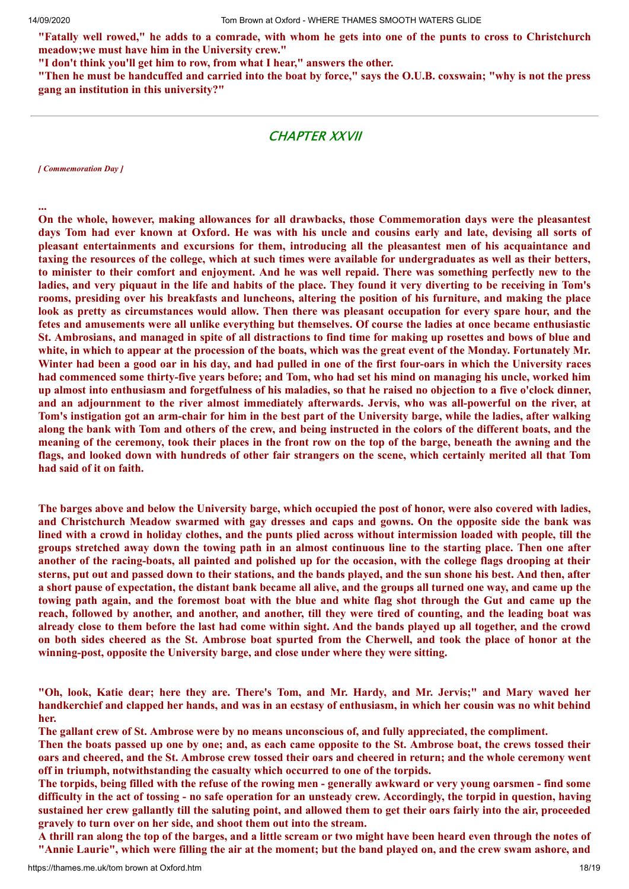"Fatally well rowed," he adds to a comrade, with whom he gets into one of the punts to cross to Christchurch **meadow;we must have him in the University crew."**

**"I don't think you'll get him to row, from what I hear," answers the other.**

"Then he must be handcuffed and carried into the boat by force," says the O.U.B. coxswain; "why is not the press **gang an institution in this university?"**

## CHAPTER XXVII

*[ Commemoration Day ]*

**... On the whole, however, making allowances for all drawbacks, those Commemoration days were the pleasantest** days Tom had ever known at Oxford. He was with his uncle and cousins early and late, devising all sorts of **pleasant entertainments and excursions for them, introducing all the pleasantest men of his acquaintance and** taxing the resources of the college, which at such times were available for undergraduates as well as their betters, to minister to their comfort and enjoyment. And he was well repaid. There was something perfectly new to the ladies, and very piquaut in the life and habits of the place. They found it very diverting to be receiving in Tom's rooms, presiding over his breakfasts and luncheons, altering the position of his furniture, and making the place look as pretty as circumstances would allow. Then there was pleasant occupation for every spare hour, and the fetes and amusements were all unlike everything but themselves. Of course the ladies at once became enthusiastic St. Ambrosians, and managed in spite of all distractions to find time for making up rosettes and bows of blue and white, in which to appear at the procession of the boats, which was the great event of the Monday. Fortunately Mr. Winter had been a good oar in his day, and had pulled in one of the first four-oars in which the University races had commenced some thirty-five years before; and Tom, who had set his mind on managing his uncle, worked him up almost into enthusiasm and forgetfulness of his maladies, so that he raised no objection to a five o'clock dinner, and an adjournment to the river almost immediately afterwards. Jervis, who was all-powerful on the river, at Tom's instigation got an arm-chair for him in the best part of the University barge, while the ladies, after walking along the bank with Tom and others of the crew, and being instructed in the colors of the different boats, and the meaning of the ceremony, took their places in the front row on the top of the barge, beneath the awning and the flags, and looked down with hundreds of other fair strangers on the scene, which certainly merited all that Tom **had said of it on faith.**

The barges above and below the University barge, which occupied the post of honor, were also covered with ladies, and Christchurch Meadow swarmed with gay dresses and caps and gowns. On the opposite side the bank was lined with a crowd in holiday clothes, and the punts plied across without intermission loaded with people, till the groups stretched away down the towing path in an almost continuous line to the starting place. Then one after another of the racing-boats, all painted and polished up for the occasion, with the college flags drooping at their sterns, put out and passed down to their stations, and the bands played, and the sun shone his best. And then, after a short pause of expectation, the distant bank became all alive, and the groups all turned one way, and came up the towing path again, and the foremost boat with the blue and white flag shot through the Gut and came up the reach, followed by another, and another, and another, till they were tired of counting, and the leading boat was already close to them before the last had come within sight. And the bands played up all together, and the crowd on both sides cheered as the St. Ambrose boat spurted from the Cherwell, and took the place of honor at the **winning-post, opposite the University barge, and close under where they were sitting.**

"Oh, look, Katie dear; here they are. There's Tom, and Mr. Hardy, and Mr. Jervis;" and Mary waved her handkerchief and clapped her hands, and was in an ecstasy of enthusiasm, in which her cousin was no whit behind **her.**

**The gallant crew of St. Ambrose were by no means unconscious of, and fully appreciated, the compliment.**

Then the boats passed up one by one; and, as each came opposite to the St. Ambrose boat, the crews tossed their oars and cheered, and the St. Ambrose crew tossed their oars and cheered in return; and the whole ceremony went **off in triumph, notwithstanding the casualty which occurred to one of the torpids.**

The torpids, being filled with the refuse of the rowing men - generally awkward or very young oarsmen - find some difficulty in the act of tossing - no safe operation for an unsteady crew. Accordingly, the torpid in question, having sustained her crew gallantly till the saluting point, and allowed them to get their oars fairly into the air, proceeded **gravely to turn over on her side, and shoot them out into the stream.**

A thrill ran along the top of the barges, and a little scream or two might have been heard even through the notes of "Annie Laurie", which were filling the air at the moment; but the band played on, and the crew swam ashore, and